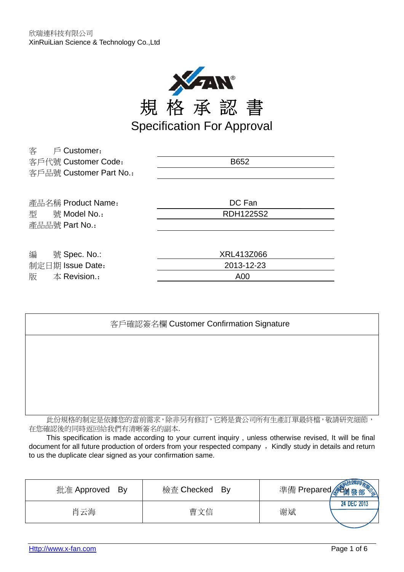

| 客<br>$\mathfrak{S}$ Customer: |                  |
|-------------------------------|------------------|
| 客戶代號 Customer Code:           | B652             |
| 客戶品號 Customer Part No.:       |                  |
|                               |                  |
| 產品名稱 Product Name:            | DC Fan           |
| 號 Model No.:<br>型             | <b>RDH1225S2</b> |
| 產品品號 Part No.:                |                  |
|                               |                  |
| 編<br>號 Spec. No.:             | XRL413Z066       |
| 制定日期 Issue Date:              | 2013-12-23       |
| 版<br>$\pm$ Revision.:         | A00              |
|                               |                  |

| 客戶確認簽名欄 Customer Confirmation Signature         |
|-------------------------------------------------|
|                                                 |
|                                                 |
|                                                 |
|                                                 |
| 此份規格的制定是依據您的當前需求,除非另有修訂,它將是貴公司所有生產訂單最終檔,敬請研究細節, |

在您確認後的同時返回給我們有清晰簽名的副本.

This specification is made according to your current inquiry, unless otherwise revised, It will be final document for all future production of orders from your respected company , Kindly study in details and return to us the duplicate clear signed as your confirmation same.

| 批准 Approved | 檢查 Checked | 準備 Prepared <i>, </i> 智 <sub>爾發部</sub> |
|-------------|------------|----------------------------------------|
| – Bv        | Bv         | $\mathbb{Z}$                           |
| 肖云海         | 曹文信        | <b>24 DEC 2013</b><br>谢斌               |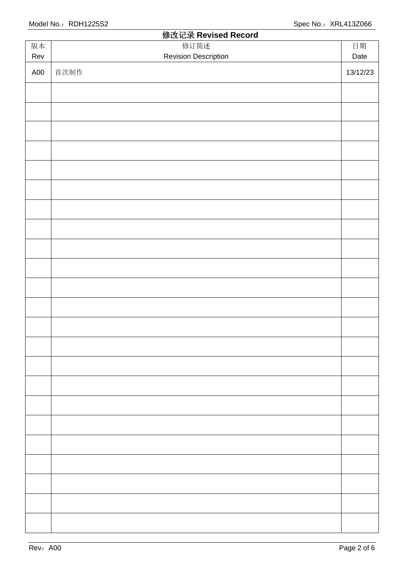|     | 修改记录 Revised Record         |          |
|-----|-----------------------------|----------|
| 版本  | 修订简述                        | 日期       |
| Rev | <b>Revision Description</b> | Date     |
| A00 | 首次制作                        | 13/12/23 |
|     |                             |          |
|     |                             |          |
|     |                             |          |
|     |                             |          |
|     |                             |          |
|     |                             |          |
|     |                             |          |
|     |                             |          |
|     |                             |          |
|     |                             |          |
|     |                             |          |
|     |                             |          |
|     |                             |          |
|     |                             |          |
|     |                             |          |
|     |                             |          |
|     |                             |          |
|     |                             |          |
|     |                             |          |
|     |                             |          |
|     |                             |          |
|     |                             |          |
|     |                             |          |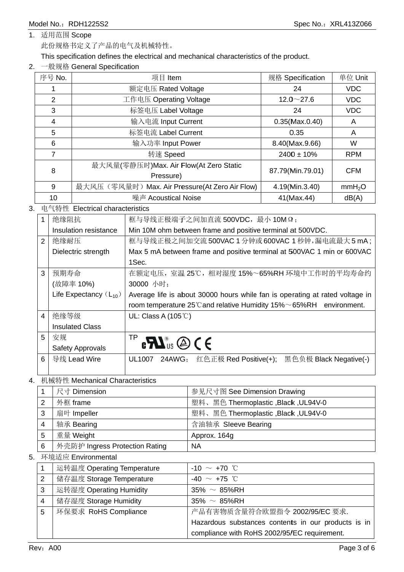1. 适用范围 Scope

此份规格书定义了产品的电气及机械特性。

This specification defines the electrical and mechanical characteristics of the product.

### 2. 一般规格 General Specification

| 序号 No. | 项目 Item                                        | 规格 Specification      | 单位 Unit            |
|--------|------------------------------------------------|-----------------------|--------------------|
|        | 额定电压 Rated Voltage                             | 24                    | <b>VDC</b>         |
| 2      | 工作电压 Operating Voltage                         | $12.0 \sim 27.6$      | <b>VDC</b>         |
| 3      | 标签电压 Label Voltage                             | 24                    | <b>VDC</b>         |
| 4      | 输入电流 Input Current                             | $0.35$ (Max. $0.40$ ) | A                  |
| 5      | 标签电流 Label Current                             | 0.35                  | A                  |
| 6      | 输入功率 Input Power                               | 8.40(Max.9.66)        | W                  |
| 7      | 转速 Speed                                       | $2400 \pm 10\%$       | <b>RPM</b>         |
| 8      | 最大风量(零静压时)Max. Air Flow(At Zero Static         | 87.79(Min.79.01)      | <b>CFM</b>         |
|        | Pressure)                                      |                       |                    |
| 9      | 最大风压(零风量时) Max. Air Pressure(At Zero Air Flow) | 4.19(Min.3.40)        | mmH <sub>2</sub> O |
| 10     | 噪声 Acoustical Noise                            | 41(Max.44)            | dB(A)              |

### 3. 电气特性 Electrical characteristics

|                | 绝缘阻抗                       | 框与导线正极端子之间加直流 500VDC, 最小 10M Ω;                                                        |
|----------------|----------------------------|----------------------------------------------------------------------------------------|
|                | Insulation resistance      | Min 10M ohm between frame and positive terminal at 500VDC.                             |
| $\overline{2}$ | 绝缘耐压                       | 框与导线正极之间加交流 500VAC 1 分钟或 600VAC 1 秒钟,漏电流最大 5 mA;                                       |
|                | Dielectric strength        | Max 5 mA between frame and positive terminal at 500VAC 1 min or 600VAC                 |
|                |                            | 1Sec.                                                                                  |
| 3              | 预期寿命                       | 在额定电压,室温25℃,相对湿度15%~65%RH环境中工作时的平均寿命约                                                  |
|                | (故障率 10%)                  | 30000 小时;                                                                              |
|                | Life Expectancy $(L_{10})$ | Average life is about 30000 hours while fan is operating at rated voltage in           |
|                |                            | room temperature $25^{\circ}$ C and relative Humidity $15\% \sim 65\%$ RH environment. |
| 4              | 绝缘等级                       | UL: Class A $(105^{\circ}$ C)                                                          |
|                | <b>Insulated Class</b>     |                                                                                        |
| 5              |                            |                                                                                        |
|                | 安规                         |                                                                                        |
|                | <b>Safety Approvals</b>    | $\mathbf{P} \in \mathbf{M}^{\infty}$ us $\mathbf{Q} \in \mathbf{C}$                    |
| 6              | 导线 Lead Wire               | 红色正极 Red Positive(+);<br>黑色负极 Black Negative(-)<br>UL1007<br>24AWG;                    |

### 4. 机械特性 Mechanical Characteristics

|   | 尺寸 Dimension                   | 参见尺寸图 See Dimension Drawing          |
|---|--------------------------------|--------------------------------------|
| 2 | 外框 frame                       | 塑料、黑色 Thermoplastic , Black, UL94V-0 |
| 3 | 扇叶 Impeller                    | 塑料、黑色 Thermoplastic, Black, UL94V-0  |
| 4 | 轴承 Bearing                     | 含油轴承 Sleeve Bearing                  |
| 5 | 重量 Weight                      | Approx. 164g                         |
| 6 | 外壳防护 Ingress Protection Rating | ΝA                                   |
|   | 5. 环境适应 Environmental          |                                      |

#### 运转温度 Operating Temperature  $\mathbf{1}$ -10  $\sim$  +70 °C  $\overline{2}$ 储存温度 Storage Temperature  $-40 \sim +75$  °C 运转湿度 Operating Humidity  $\overline{3}$  $35\% \sim 85\%$ RH 储存湿度 Storage Humidity  $\overline{\mathbf{4}}$  $35\% \sim 85\%$ RH 环保要求 RoHS Compliance 5 产品有害物质含量符合欧盟指令 2002/95/EC 要求. Hazardous substances contents in our products is in compliance with RoHS 2002/95/EC requirement.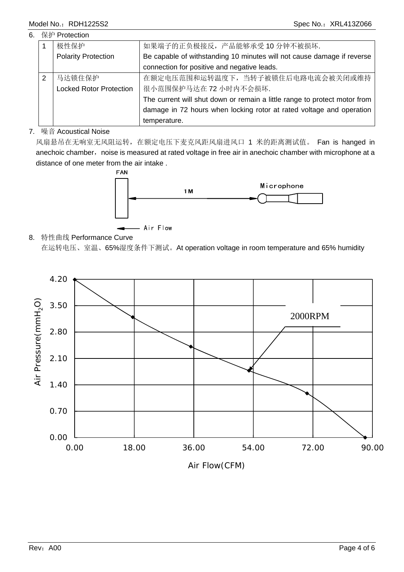### Model No.: RDH1225S2 Spec No.: XRL413Z066

### 6. 保护 Protection

|               | 极性保护                           | 如果端子的正负极接反,产品能够承受10分钟不被损坏.                                                |
|---------------|--------------------------------|---------------------------------------------------------------------------|
|               | <b>Polarity Protection</b>     | Be capable of withstanding 10 minutes will not cause damage if reverse    |
|               |                                | connection for positive and negative leads.                               |
| $\mathcal{P}$ | 马达锁住保护                         | 在额定电压范围和运转温度下, 当转子被锁住后电路电流会被关闭或维持                                         |
|               | <b>Locked Rotor Protection</b> | 很小范围保护马达在 72 小时内不会损坏.                                                     |
|               |                                | The current will shut down or remain a little range to protect motor from |
|               |                                | damage in 72 hours when locking rotor at rated voltage and operation      |
|               |                                | temperature.                                                              |

### 7. 噪音 Acoustical Noise

风扇悬吊在无响室无风阻运转, 在额定电压下麦克风距风扇进风口 1 米的距离测试值。 Fan is hanged in anechoic chamber, noise is measured at rated voltage in free air in anechoic chamber with microphone at a distance of one meter from the air intake .



### 8. 特性曲线 Performance Curve

在运转电压、室温、65%湿度条件下测试。At operation voltage in room temperature and 65% humidity

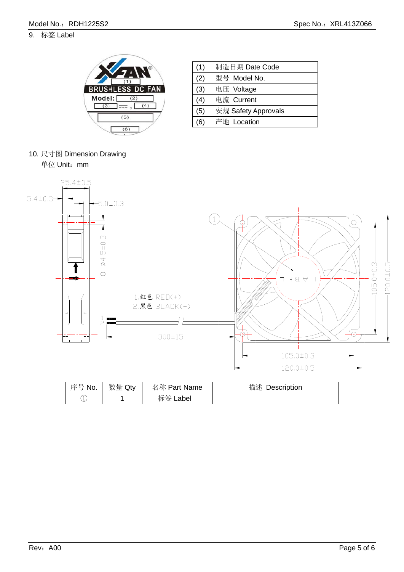### 9. 标签 Label



| (1) | 制造日期 Date Code      |
|-----|---------------------|
| (2) | 型号 Model No.        |
| (3) | 电压 Voltage          |
| (4) | 电流 Current          |
| (5) | 安规 Safety Approvals |
| (6) | 产地 Location         |
|     |                     |

10. 尺寸图 Dimension Drawing

单位 Unit: mm



| 序号 No. | 数量 Qty | 名称 Part Name | 描述<br>Description |
|--------|--------|--------------|-------------------|
| Ŧ      |        | 标签 Label     |                   |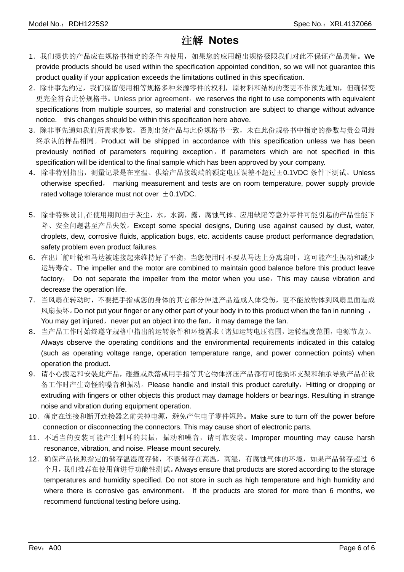### 注解 **Notes**

- 1. 我们提供的产品应在规格书指定的条件内使用,如果您的应用超出规格极限我们对此不保证产品质量。We provide products should be used within the specification appointed condition, so we will not guarantee this product quality if your application exceeds the limitations outlined in this specification.
- 2.除非事先约定,我们保留使用相等规格多种来源零件的权利,原材料和结构的变更不作预先通知,但确保变 更完全符合此份规格书。Unless prior agreement,we reserves the right to use components with equivalent specifications from multiple sources, so material and construction are subject to change without advance notice. this changes should be within this specification here above.
- 3.除非事先通知我们所需求参数,否则出货产品与此份规格书一致,未在此份规格书中指定的参数与贵公司最 终承认的样品相同。Product will be shipped in accordance with this specification unless we has been previously notified of parameters requiring exception, if parameters which are not specified in this specification will be identical to the final sample which has been approved by your company.
- 4. 除非特别指出, 测量记录是在室温、供给产品接线端的额定电压误差不超过±0.1VDC 条件下测试。Unless otherwise specified, marking measurement and tests are on room temperature, power supply provide rated voltage tolerance must not over  $\pm$  0.1VDC.
- 5.除非特殊设计,在使用期间由于灰尘,水,水滴,露,腐蚀气体、应用缺陷等意外事件可能引起的产品性能下 降、安全问题甚至产品失效。Except some special designs, During use against caused by dust, water, droplets, dew, corrosive fluids, application bugs, etc. accidents cause product performance degradation, safety problem even product failures.
- 6.在出厂前叶轮和马达被连接起来维持好了平衡,当您使用时不要从马达上分离扇叶,这可能产生振动和减少 运转寿命。The impeller and the motor are combined to maintain good balance before this product leave factory, Do not separate the impeller from the motor when you use, This may cause vibration and decrease the operation life.
- 7.当风扇在转动时,不要把手指或您的身体的其它部分伸进产品造成人体受伤,更不能放物体到风扇里面造成 风扇损坏。Do not put your finger or any other part of your body in to this product when the fan in running , You may get injured, never put an object into the fan, it may damage the fan.
- 8.当产品工作时始终遵守规格中指出的运转条件和环境需求(诸如运转电压范围,运转温度范围,电源节点)。 Always observe the operating conditions and the environmental requirements indicated in this catalog (such as operating voltage range, operation temperature range, and power connection points) when operation the product.
- 9.请小心搬运和安装此产品,碰撞或跌落或用手指等其它物体挤压产品都有可能损坏支架和轴承导致产品在设 备工作时产生奇怪的噪音和振动。Please handle and install this product carefully, Hitting or dropping or extruding with fingers or other objects this product may damage holders or bearings. Resulting in strange noise and vibration during equipment operation.
- 10.确定在连接和断开连接器之前关掉电源,避免产生电子零件短路。Make sure to turn off the power before connection or disconnecting the connectors. This may cause short of electronic parts.
- 11. 不适当的安装可能产生刺耳的共振,振动和噪音,请可靠安装。Improper mounting may cause harsh resonance, vibration, and noise. Please mount securely.
- 12.确保产品依照指定的储存温湿度存储,不要储存在高温,高湿,有腐蚀气体的环境,如果产品储存超过 6 个月,我们推荐在使用前进行功能性测试。Always ensure that products are stored according to the storage temperatures and humidity specified. Do not store in such as high temperature and high humidity and where there is corrosive gas environment, If the products are stored for more than 6 months, we recommend functional testing before using.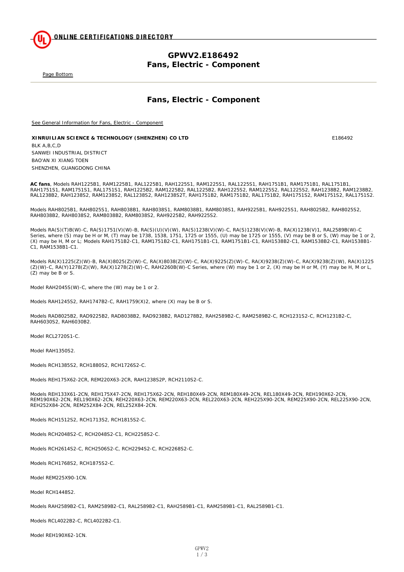**ONLINE CERTIFICATIONS DIRECTORY** 

### **GPWV2.E186492 Fans, Electric - Component**

Page Bottom

### **Fans, Electric - Component**

See General Information for Fans, Electric - Component

**XINRUILIAN SCIENCE & TECHNOLOGY (SHENZHEN) CO LTD** E186492 BLK A,B,C,D SANWEI INDUSTRIAL DISTRICT BAO'AN XI XIANG TOEN SHENZHEN, GUANGDONG CHINA

**AC fans**, Models RAH1225B1, RAM1225B1, RAL1225B1, RAH1225S1, RAM1225S1, RAL1225S1, RAH1751B1, RAM1751B1, RAL1751B1, RAH1751S1, RAM1751S1, RAL1751S1, RAH1225B2, RAM1225B2, RAL1225B2, RAH1225S2, RAM1225S2, RAL1225S2, RAH1238B2, RAM1238B2, RAL1238B2, RAH1238S2, RAM1238S2, RAL1238S2, RAH1238S2T, RAH1751B2, RAM1751B2, RAL1751B2, RAH1751S2, RAM1751S2, RAL1751S2.

Models RAH8025B1, RAH8025S1, RAH8038B1, RAH8038S1, RAM8038B1, RAM8038S1, RAH9225B1, RAH9225S1, RAH8025B2, RAH8025S2, RAH8038B2, RAH8038S2, RAM8038B2, RAM8038S2, RAH9225B2, RAH9225S2.

Models RA(S)(T)B(W)-C, RA(S)1751(V)(W)-B, RA(S)(U)(V)(W), RA(S)1238(V)(W)-C, RA(S)1238(V)(W)-B, RA(X)1238(V)1, RAL2589B(W)-C Series, where (S) may be H or M, (T) may be 1738, 1538, 1751, 1725 or 1555, (U) may be 1725 or 1555, (V) may be B or S, (W) may be 1 or 2, (X) may be H, M or L; Models RAH1751B2-C1, RAM1751B2-C1, RAH1751B1-C1, RAM1751B1-C1, RAH1538B2-C1, RAM1538B2-C1, RAH1538B1- C1, RAM1538B1-C1.

Models RA(X)1225(Z)(W)-B, RA(X)8025(Z)(W)-C, RA(X)8038(Z)(W)-C, RA(X)9225(Z)(W)-C, RA(X)9238(Z)(W)-C, RA(X)9238(Z)(W), RA(X)1225 (Z)(W)-C, RA(Y)1278(Z)(W), RA(X)1278(Z)(W)-C, RAH2260B(W)-C Series, where (W) may be 1 or 2, (X) may be H or M, (Y) may be H, M or L, (Z) may be B or S.

Model RAH2045S(W)-C, where the (W) may be 1 or 2.

Models RAH1245S2, RAH1747B2-C, RAH1759(X)2, where (X) may be B or S.

Models RAD8025B2, RAD9225B2, RAD8038B2, RAD9238B2, RAD1278B2, RAH2589B2-C, RAM2589B2-C, RCH1231S2-C, RCH1231B2-C, RAH6030S2, RAH6030B2.

Model RCL2720S1-C.

Model RAH1350S2.

Models RCH1385S2, RCH1880S2, RCH1726S2-C.

Models REH175X62-2CR, REM220X63-2CR, RAH1238S2P, RCH2110S2-C.

Models REH133X61-2CN, REH175X47-2CN, REH175X62-2CN, REH180X49-2CN, REM180X49-2CN, REL180X49-2CN, REH190X62-2CN, REM190X62-2CN, REL190X62-2CN, REH220X63-2CN, REM220X63-2CN, REL220X63-2CN, REH225X90-2CN, REM225X90-2CN, REL225X90-2CN, REH252X84-2CN, REM252X84-2CN, REL252X84-2CN.

Models RCH1512S2, RCH1713S2, RCH1815S2-C.

Models RCH2048S2-C, RCH2048S2-C1, RCH2258S2-C.

Models RCH2614S2-C, RCH2506S2-C, RCH2294S2-C, RCH2268S2-C.

Models RCH1768S2, RCH1875S2-C.

Model REM225X90-1CN.

Model RCH1448S2.

Models RAH2589B2-C1, RAM2589B2-C1, RAL2589B2-C1, RAH2589B1-C1, RAM2589B1-C1, RAL2589B1-C1.

Models RCL4022B2-C, RCL4022B2-C1.

Model REH190X62-1CN.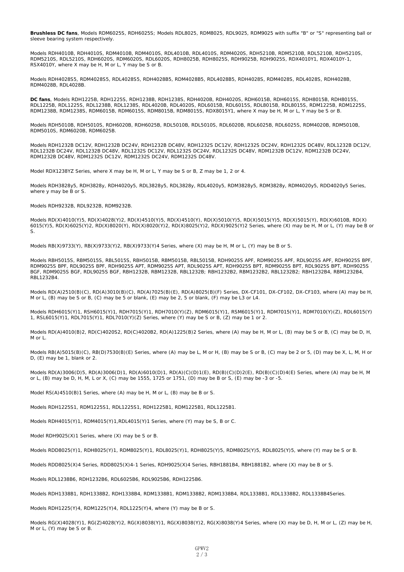**Brushless DC fans**, Models RDM6025S, RDH6025S; Models RDL8025, RDM8025, RDL9025, RDM9025 with suffix "B" or "S" representing ball or sleeve bearing system respectively.

Models RDH4010B, RDH4010S, RDM4010B, RDM4010S, RDL4010B, RDL4010S, RDM4020S, RDH5210B, RDM5210B, RDL5210B, RDH5210S, RDM5210S, RDL5210S, RDH6020S, RDM6020S, RDL6020S, RDH8025B, RDH8025S, RDH9025B, RDH9025S, RDX4010Y1, RDX4010Y-1, RSX4010Y, where X may be H, M or L, Y may be S or B.

Models RDH4028S5, RDM4028S5, RDL4028S5, RDH4028B5, RDM4028B5, RDL4028B5, RDH4028S, RDM4028S, RDL4028S, RDH4028B, RDM4028B, RDL4028B.

**DC fans**, Models RDH1225B, RDH1225S, RDH1238B, RDH1238S, RDH4020B, RDH4020S, RDH6015B, RDH6015S, RDH8015B, RDH8015S, RDL1225B, RDL1225S, RDL1238B, RDL1238S, RDL4020B, RDL4020S, RDL6015B, RDL6015S, RDL8015B, RDL8015S, RDM1225B, RDM1225S, RDM1238B, RDM1238S, RDM6015B, RDM6015S, RDM8015B, RDM8015S, RDX8015Y1, where X may be H, M or L, Y may be S or B.

Models RDH5010B, RDH5010S, RDH6020B, RDH6025B, RDL5010B, RDL5010S, RDL6020B, RDL6025B, RDL6025S, RDM4020B, RDM5010B, RDM5010S, RDM6020B, RDM6025B.

Models RDH1232B DC12V, RDH1232B DC24V, RDH1232B DC48V, RDH1232S DC12V, RDH1232S DC24V, RDH1232S DC48V, RDL1232B DC12V, RDL1232B DC24V, RDL1232B DC48V, RDL1232S DC12V, RDL1232S DC24V, RDL1232S DC48V, RDM1232B DC12V, RDM1232B DC24V, RDM1232B DC48V, RDM1232S DC12V, RDM1232S DC24V, RDM1232S DC48V.

Model RDX1238YZ Series, where X may be H, M or L, Y may be S or B, Z may be 1, 2 or 4.

Models RDH3828y5, RDH3828y, RDH4020y5, RDL3828y5, RDL3828y, RDL4020y5, RDM3828y5, RDM3828y, RDM4020y5, RDD4020y5 Series, where y may be B or S.

Models RDH9232B, RDL9232B, RDM9232B.

Models RD(X)4010(Y)5, RD(X)4028(Y)2, RD(X)4510(Y)5, RD(X)4510(Y), RD(X)5010(Y)5, RD(X)5015(Y)5, RD(X)5015(Y), RD(X)6010B, RD(X) 6015(Y)5, RD(X)6025(Y)2, RD(X)8020(Y), RD(X)8020(Y)2, RD(X)8025(Y)2, RD(X)9025(Y)2 Series, where (X) may be H, M or L, (Y) may be B or S.

Models RB(X)9733(Y), RB(X)9733(Y)2, RB(X)9733(Y)4 Series, where (X) may be H, M or L, (Y) may be B or S.

Models RBH5015S, RBM5015S, RBL5015S, RBH5015B, RBM5015B, RBL5015B, RDH9025S APF, RDM9025S APF, RDL9025S APF, RDH9025S BPF, RDM9025S BPF, RDL9025S BPF, RDH9025S APT, RDM9025S APT, RDL9025S APT, RDH9025S BPT, RDM9025S BPT, RDL9025S BPT, RDH9025S BGF, RDM9025S BGF, RDL9025S BGF, RBH1232B, RBM1232B, RBL1232B; RBH1232B2, RBM1232B2, RBL1232B2; RBH1232B4, RBM1232B4, RBL1232B4.

Models RD(A)2510(B)(C), RD(A)3010(B)(C), RD(A)7025(B)(E), RD(A)8025(B)(F) Series, DX-CF101, DX-CF102, DX-CF103, where (A) may be H, M or L, (B) may be S or B, (C) may be 5 or blank, (E) may be 2, 5 or blank, (F) may be L3 or L4.

Models RDH6015(Y)1, RSH6015(Y)1, RDH7015(Y)1, RDH7010(Y)(Z), RDM6015(Y)1, RSM6015(Y)1, RDM7015(Y)1, RDM7010(Y)(Z), RDL6015(Y) 1, RSL6015(Y)1, RDL7015(Y)1, RDL7010(Y)(Z) Series, where (Y) may be S or B, (Z) may be 1 or 2.

Models RD(A)4010(B)2, RD(C)4020S2, RD(C)4020B2, RD(A)1225(B)2 Series, where (A) may be H, M or L, (B) may be S or B, (C) may be D, H, M or L.

Models RB(A)5015(B)(C), RB(D)7530(B)(E) Series, where (A) may be L, M or H, (B) may be S or B, (C) may be 2 or 5, (D) may be X, L, M, H or D, (E) may be 1, blank or 2.

Models RD(A)3006(D)5, RD(A)3006(D)1, RD(A)6010(D)1, RD(A)(C)(D)1(E), RD(B)(C)(D)2(E), RD(B)(C)(D)4(E) Series, where (A) may be H, M or L, (B) may be D, H, M, L or X, (C) may be 1555, 1725 or 1751, (D) may be B or S, (E) may be -3 or -5.

Model RS(A)4510(B)1 Series, where (A) may be H, M or L, (B) may be B or S.

Models RDH1225S1, RDM1225S1, RDL1225S1, RDH1225B1, RDM1225B1, RDL1225B1.

Models RDH4015(Y)1, RDM4015(Y)1,RDL4015(Y)1 Series, where (Y) may be S, B or C.

Model RDH9025(X)1 Series, where (X) may be S or B.

Models RDD8025(Y)1, RDH8025(Y)1, RDM8025(Y)1, RDL8025(Y)1, RDH8025(Y)5, RDM8025(Y)5, RDL8025(Y)5, where (Y) may be S or B.

Models RDD8025(X)4 Series, RDD8025(X)4-1 Series, RDH9025(X)4 Series, RBH1881B4, RBH1881B2, where (X) may be B or S.

Models RDL1238B6, RDH1232B6, RDL6025B6, RDL9025B6, RDH1225B6.

Models RDH1338B1, RDH1338B2, RDH1338B4, RDM1338B1, RDM1338B2, RDM1338B4, RDL1338B1, RDL1338B2, RDL1338B4Series.

Models RDH1225(Y)4, RDM1225(Y)4, RDL1225(Y)4, where (Y) may be B or S.

Models RG(X)4028(Y)1, RG(Z)4028(Y)2, RG(X)8038(Y)1, RG(X)8038(Y)2, RG(X)8038(Y)4 Series, where (X) may be D, H, M or L, (Z) may be H, M or L, (Y) may be S or B.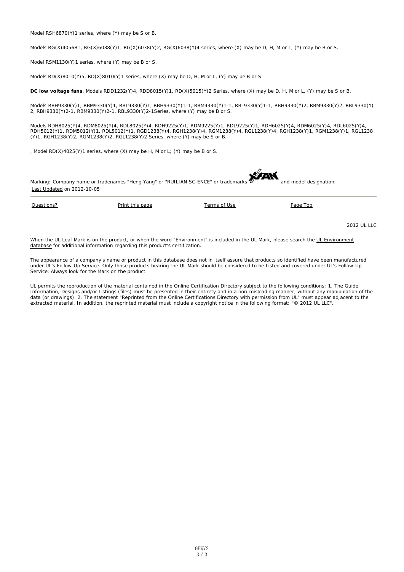Model RSH6870(Y)1 series, where (Y) may be S or B.

Models RG(X)4056B1, RG(X)6038(Y)1, RG(X)6038(Y)2, RG(X)6038(Y)4 series, where (X) may be D, H, M or L, (Y) may be B or S.

Model RSM1130(Y)1 series, where (Y) may be B or S.

Models  $RD(X)8010(Y)5$ ,  $RD(X)8010(Y)1$  series, where  $(X)$  may be D, H, M or L,  $(Y)$  may be B or S.

**DC low voltage fans**, Models RDD1232(Y)4, RDD8015(Y)1, RD(X)5015(Y)2 Series, where (X) may be D, H, M or L, (Y) may be S or B.

Models RBH9330(Y)1, RBM9330(Y)1, RBL9330(Y)1, RBH9330(Y)1-1, RBM9330(Y)1-1, RBL9330(Y)1-1, RBH9330(Y)2, RBM9330(Y)2, RBL9330(Y) 2, RBH9330(Y)2-1, RBM9330(Y)2-1, RBL9330(Y)2-1Series, where (Y) may be B or S.

Models RDH8025(Y)4, RDM8025(Y)4, RDL8025(Y)4, RDH9225(Y)1, RDM9225(Y)1, RDL9225(Y)1, RDH6025(Y)4, RDM6025(Y)4, RDL6025(Y)4, RDH5012(Y)1, RDM5012(Y)1, RDL5012(Y)1, RGD1238(Y)4, RGH1238(Y)4, RGM1238(Y)4, RGL1238(Y)4, RGH1238(Y)1, RGM1238(Y)1, RGL1238 (Y)1, RGH1238(Y)2, RGM1238(Y)2, RGL1238(Y)2 Series, where (Y) may be S or B.

, Model RD(X)4025(Y)1 series, where (X) may be H, M or L; (Y) may be B or S.



2012 UL LLC

When the UL Leaf Mark is on the product, or when the word "Environment" is included in the UL Mark, please search the UL Environment database for additional information regarding this product's certification.

The appearance of a company's name or product in this database does not in itself assure that products so identified have been manufactured under UL's Follow-Up Service. Only those products bearing the UL Mark should be considered to be Listed and covered under UL's Follow-Up Service. Always look for the Mark on the product.

UL permits the reproduction of the material contained in the Online Certification Directory subject to the following conditions: 1. The Guide Information, Designs and/or Listings (files) must be presented in their entirety and in a non-misleading manner, without any manipulation of the data (or drawings). 2. The statement "Reprinted from the Online Certifications Directory with permission from UL" must appear adjacent to the extracted material. In addition, the reprinted material must include a copyright notice in the following format: "© 2012 UL LLC".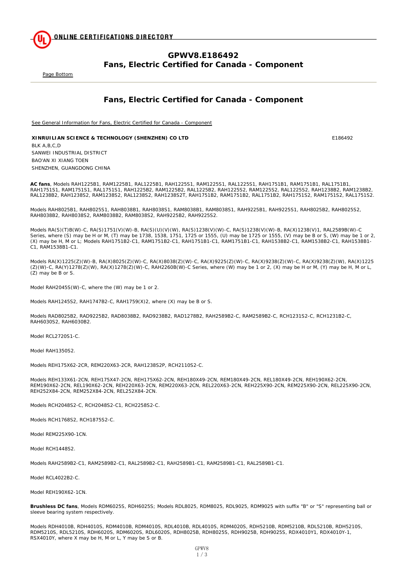

### **GPWV8.E186492 Fans, Electric Certified for Canada - Component**

Page Bottom

### **Fans, Electric Certified for Canada - Component**

See General Information for Fans, Electric Certified for Canada - Component

**XINRUILIAN SCIENCE & TECHNOLOGY (SHENZHEN) CO LTD** E186492 BLK A,B,C,D SANWEI INDUSTRIAL DISTRICT BAO'AN XI XIANG TOEN SHENZHEN, GUANGDONG CHINA

**AC fans**, Models RAH1225B1, RAM1225B1, RAL1225B1, RAH1225S1, RAM1225S1, RAL1225S1, RAH1751B1, RAM1751B1, RAL1751B1, RAH1751S1, RAM1751S1, RAL1751S1, RAH1225B2, RAM1225B2, RAL1225B2, RAH1225S2, RAM1225S2, RAL1225S2, RAH1238B2, RAM1238B2, RAL1238B2, RAH1238S2, RAM1238S2, RAL1238S2, RAH1238S2T, RAH1751B2, RAM1751B2, RAL1751B2, RAH1751S2, RAM1751S2, RAL1751S2.

Models RAH8025B1, RAH8025S1, RAH8038B1, RAH8038S1, RAM8038B1, RAM8038S1, RAH9225B1, RAH9225S1, RAH8025B2, RAH8025S2, RAH8038B2, RAH8038S2, RAM8038B2, RAM8038S2, RAH9225B2, RAH9225S2.

Models RA(S)(T)B(W)-C, RA(S)1751(V)(W)-B, RA(S)(U)(V)(W), RA(S)1238(V)(W)-C, RA(S)1238(V)(W)-B, RA(X)1238(V)1, RAL2589B(W)-C Series, where (S) may be H or M, (T) may be 1738, 1538, 1751, 1725 or 1555, (U) may be 1725 or 1555, (V) may be B or S, (W) may be 1 or 2, (X) may be H, M or L; Models RAH1751B2-C1, RAM1751B2-C1, RAH1751B1-C1, RAM1751B1-C1, RAH1538B2-C1, RAM1538B2-C1, RAH1538B1- C1, RAM1538B1-C1.

Models RA(X)1225(Z)(W)-B, RA(X)8025(Z)(W)-C, RA(X)8038(Z)(W)-C, RA(X)9225(Z)(W)-C, RA(X)9238(Z)(W)-C, RA(X)9238(Z)(W), RA(X)1225 (Z)(W)-C, RA(Y)1278(Z)(W), RA(X)1278(Z)(W)-C, RAH2260B(W)-C Series, where (W) may be 1 or 2, (X) may be H or M, (Y) may be H, M or L, (Z) may be B or S.

Model RAH2045S(W)-C, where the (W) may be 1 or 2.

Models RAH1245S2, RAH1747B2-C, RAH1759(X)2, where (X) may be B or S.

Models RAD8025B2, RAD9225B2, RAD8038B2, RAD9238B2, RAD1278B2, RAH2589B2-C, RAM2589B2-C, RCH1231S2-C, RCH1231B2-C, RAH6030S2, RAH6030B2.

Model RCL2720S1-C.

Model RAH1350S2.

Models REH175X62-2CR, REM220X63-2CR, RAH1238S2P, RCH2110S2-C.

Models REH133X61-2CN, REH175X47-2CN, REH175X62-2CN, REH180X49-2CN, REM180X49-2CN, REL180X49-2CN, REH190X62-2CN, REM190X62-2CN, REL190X62-2CN, REH220X63-2CN, REM220X63-2CN, REL220X63-2CN, REH225X90-2CN, REM225X90-2CN, REL225X90-2CN, REH252X84-2CN, REM252X84-2CN, REL252X84-2CN.

Models RCH2048S2-C, RCH2048S2-C1, RCH2258S2-C.

Models RCH1768S2, RCH1875S2-C.

Model REM225X90-1CN.

Model RCH1448S2.

Models RAH2589B2-C1, RAM2589B2-C1, RAL2589B2-C1, RAH2589B1-C1, RAM2589B1-C1, RAL2589B1-C1.

Model RCL4022B2-C.

Model REH190X62-1CN.

**Brushless DC fans**, Models RDM6025S, RDH6025S; Models RDL8025, RDM8025, RDL9025, RDM9025 with suffix "B" or "S" representing ball or sleeve bearing system respectively.

Models RDH4010B, RDH4010S, RDM4010B, RDM4010S, RDL4010B, RDL4010S, RDM4020S, RDH5210B, RDM5210B, RDL5210B, RDH5210S, RDM5210S, RDL5210S, RDH6020S, RDM6020S, RDL6020S, RDH8025B, RDH8025S, RDH9025B, RDH9025S, RDX4010Y1, RDX4010Y-1, RSX4010Y, where X may be H, M or L, Y may be S or B.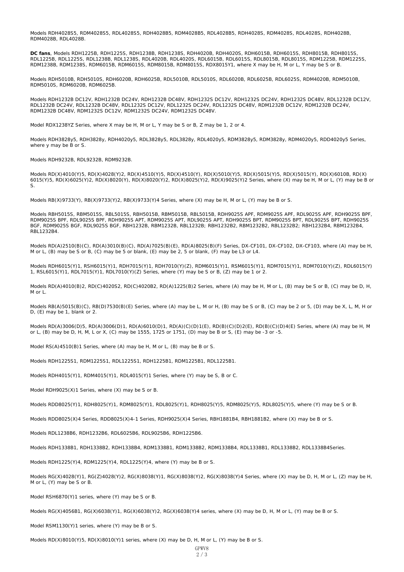Models RDH4028S5, RDM4028S5, RDL4028S5, RDH4028B5, RDM4028B5, RDL4028B5, RDH4028S, RDM4028S, RDL4028S, RDH4028B, RDM4028B, RDL4028B.

**DC fans**, Models RDH1225B, RDH1225S, RDH1238B, RDH1238S, RDH4020B, RDH4020S, RDH6015B, RDH6015S, RDH8015B, RDH8015S, RDL1225B, RDL1225S, RDL1238B, RDL1238S, RDL4020B, RDL4020S, RDL6015B, RDL6015S, RDL8015B, RDL8015S, RDM1225B, RDM1225S, RDM1238B, RDM1238S, RDM6015B, RDM6015S, RDM8015B, RDM8015S, RDX8015Y1, where X may be H, M or L, Y may be S or B.

Models RDH5010B, RDH5010S, RDH6020B, RDH6025B, RDL5010B, RDL5010S, RDL6020B, RDL6025B, RDL6025S, RDM4020B, RDM5010B, RDM5010S, RDM6020B, RDM6025B.

Models RDH1232B DC12V, RDH1232B DC24V, RDH1232B DC48V, RDH1232S DC12V, RDH1232S DC24V, RDH1232S DC48V, RDL1232B DC12V, RDL1232B DC24V, RDL1232B DC48V, RDL1232S DC12V, RDL1232S DC24V, RDL1232S DC48V, RDM1232B DC12V, RDM1232B DC24V, RDM1232B DC48V, RDM1232S DC12V, RDM1232S DC24V, RDM1232S DC48V.

Model RDX1238YZ Series, where X may be H, M or L, Y may be S or B, Z may be 1, 2 or 4.

Models RDH3828y5, RDH3828y, RDH4020y5, RDL3828y5, RDL3828y, RDL4020y5, RDM3828y5, RDM3828y, RDM4020y5, RDD4020y5 Series, where y may be B or S.

Models RDH9232B, RDL9232B, RDM9232B.

Models RD(X)4010(Y)5, RD(X)4028(Y)2, RD(X)4510(Y)5, RD(X)4510(Y), RD(X)5010(Y)5, RD(X)5015(Y)5, RD(X)5015(Y), RD(X)6010B, RD(X) 6015(Y)5, RD(X)6025(Y)2, RD(X)8020(Y), RD(X)8020(Y)2, RD(X)8025(Y)2, RD(X)9025(Y)2 Series, where (X) may be H, M or L, (Y) may be B or S.

Models RB(X)9733(Y), RB(X)9733(Y)2, RB(X)9733(Y)4 Series, where (X) may be H, M or L, (Y) may be B or S.

Models RBH5015S, RBM5015S, RBL5015S, RBH5015B, RBM5015B, RBL5015B, RDH9025S APF, RDM9025S APF, RDL9025S APF, RDH9025S BPF, RDM9025S BPF, RDL9025S BPF, RDH9025S APT, RDM9025S APT, RDL9025S APT, RDH9025S BPT, RDM9025S BPT, RDL9025S BPT, RDH9025S BGF, RDM9025S BGF, RDL9025S BGF, RBH1232B, RBM1232B, RBL1232B; RBH1232B2, RBM1232B2, RBL1232B2; RBH1232B4, RBM1232B4, RBL1232B4.

Models RD(A)2510(B)(C), RD(A)3010(B)(C), RD(A)7025(B)(E), RD(A)8025(B)(F) Series, DX-CF101, DX-CF102, DX-CF103, where (A) may be H, M or L, (B) may be S or B, (C) may be 5 or blank, (E) may be 2, 5 or blank, (F) may be L3 or L4.

Models RDH6015(Y)1, RSH6015(Y)1, RDH7015(Y)1, RDH7010(Y)(Z), RDM6015(Y)1, RSM6015(Y)1, RDM7015(Y)1, RDM7010(Y)(Z), RDL6015(Y) 1, RSL6015(Y)1, RDL7015(Y)1, RDL7010(Y)(Z) Series, where (Y) may be S or B, (Z) may be 1 or 2.

Models RD(A)4010(B)2, RD(C)4020S2, RD(C)4020B2, RD(A)1225(B)2 Series, where (A) may be H, M or L, (B) may be S or B, (C) may be D, H, M or L.

Models RB(A)5015(B)(C), RB(D)7530(B)(E) Series, where (A) may be L, M or H, (B) may be S or B, (C) may be 2 or 5, (D) may be X, L, M, H or D, (E) may be 1, blank or 2.

Models RD(A)3006(D)5, RD(A)3006(D)1, RD(A)6010(D)1, RD(A)(C)(D)1(E), RD(B)(C)(D)2(E), RD(B)(C)(D)4(E) Series, where (A) may be H, M or L, (B) may be D, H, M, L or X, (C) may be 1555, 1725 or 1751, (D) may be B or S, (E) may be -3 or -5.

Model RS(A)4510(B)1 Series, where (A) may be H, M or L, (B) may be B or S.

Models RDH1225S1, RDM1225S1, RDL1225S1, RDH1225B1, RDM1225B1, RDL1225B1.

Models RDH4015(Y)1, RDM4015(Y)1, RDL4015(Y)1 Series, where (Y) may be S, B or C.

Model RDH9025(X)1 Series, where (X) may be S or B.

Models RDD8025(Y)1, RDH8025(Y)1, RDM8025(Y)1, RDL8025(Y)1, RDH8025(Y)5, RDM8025(Y)5, RDL8025(Y)5, where (Y) may be S or B.

Models RDD8025(X)4 Series, RDD8025(X)4-1 Series, RDH9025(X)4 Series, RBH1881B4, RBH1881B2, where (X) may be B or S.

Models RDL1238B6, RDH1232B6, RDL6025B6, RDL9025B6, RDH1225B6.

Models RDH1338B1, RDH1338B2, RDH1338B4, RDM1338B1, RDM1338B2, RDM1338B4, RDL1338B1, RDL1338B2, RDL1338B4Series.

Models RDH1225(Y)4, RDM1225(Y)4, RDL1225(Y)4, where (Y) may be B or S.

Models RG(X)4028(Y)1, RG(Z)4028(Y)2, RG(X)8038(Y)1, RG(X)8038(Y)2, RG(X)8038(Y)4 Series, where (X) may be D, H, M or L, (Z) may be H, M or L, (Y) may be S or B.

Model RSH6870(Y)1 series, where (Y) may be S or B.

Models RG(X)4056B1, RG(X)6038(Y)1, RG(X)6038(Y)2, RG(X)6038(Y)4 series, where (X) may be D, H, M or L, (Y) may be B or S.

Model RSM1130(Y)1 series, where (Y) may be B or S.

Models RD(X)8010(Y)5, RD(X)8010(Y)1 series, where (X) may be D, H, M or L, (Y) may be B or S.

GPWV8 2/3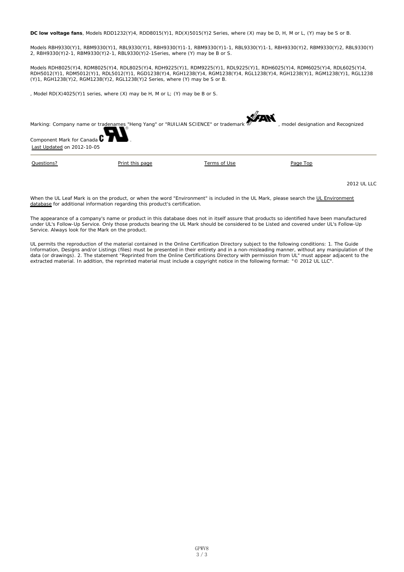**DC low voltage fans**, Models RDD1232(Y)4, RDD8015(Y)1, RD(X)5015(Y)2 Series, where (X) may be D, H, M or L, (Y) may be S or B.

Models RBH9330(Y)1, RBM9330(Y)1, RBL9330(Y)1, RBH9330(Y)1-1, RBM9330(Y)1-1, RBL9330(Y)1-1, RBH9330(Y)2, RBM9330(Y)2, RBL9330(Y) 2, RBH9330(Y)2-1, RBM9330(Y)2-1, RBL9330(Y)2-1Series, where (Y) may be B or S.

Models RDH8025(Y)4, RDM8025(Y)4, RDL8025(Y)4, RDH9225(Y)1, RDM9225(Y)1, RDL9225(Y)1, RDH6025(Y)4, RDM6025(Y)4, RDL6025(Y)4, RDH5012(Y)1, RDM5012(Y)1, RDL5012(Y)1, RGD1238(Y)4, RGH1238(Y)4, RGM1238(Y)4, RGL1238(Y)4, RGH1238(Y)1, RGM1238(Y)1, RGL1238 (Y)1, RGH1238(Y)2, RGM1238(Y)2, RGL1238(Y)2 Series, where (Y) may be S or B.

, Model RD(X)4025(Y)1 series, where (X) may be H, M or L; (Y) may be B or S.

| Marking: Company name or tradenames "Heng Yang" or "RUILIAN SCIENCE" or trademark 20<br>Component Mark for Canada C<br>Last Updated on 2012-10-05 |                 |              | , model designation and Recognized |
|---------------------------------------------------------------------------------------------------------------------------------------------------|-----------------|--------------|------------------------------------|
| Questions?                                                                                                                                        | Print this page | Terms of Use | Page Top                           |

2012 UL LLC

When the UL Leaf Mark is on the product, or when the word "Environment" is included in the UL Mark, please search the UL Environment database for additional information regarding this product's certification.

The appearance of a company's name or product in this database does not in itself assure that products so identified have been manufactured under UL's Follow-Up Service. Only those products bearing the UL Mark should be considered to be Listed and covered under UL's Follow-Up Service. Always look for the Mark on the product.

UL permits the reproduction of the material contained in the Online Certification Directory subject to the following conditions: 1. The Guide Information, Designs and/or Listings (files) must be presented in their entirety and in a non-misleading manner, without any manipulation of the data (or drawings). 2. The statement "Reprinted from the Online Certifications Directory with permission from UL" must appear adjacent to the extracted material. In addition, the reprinted material must include a copyright notice in the following format: "© 2012 UL LLC".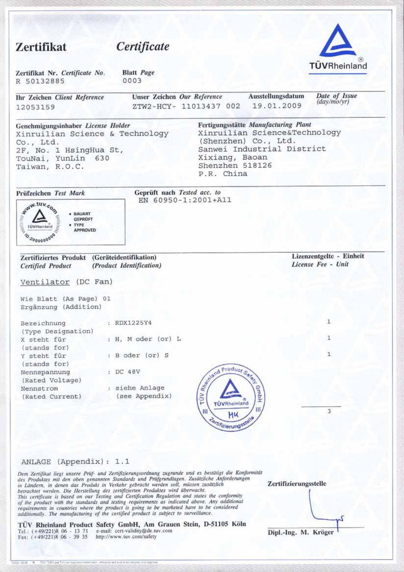| Zertifikat                                                                                                                                           | Certificate                                        |                                                 |                                                                                                                             |                                                |
|------------------------------------------------------------------------------------------------------------------------------------------------------|----------------------------------------------------|-------------------------------------------------|-----------------------------------------------------------------------------------------------------------------------------|------------------------------------------------|
| Zertifikat Nr. Certificate No.<br>R 50132885                                                                                                         | <b>Blatt</b> Page<br>0003                          |                                                 |                                                                                                                             | TÜVRheinland                                   |
| Ihr Zeichen Client Reference<br>12053159                                                                                                             | Unser Zeichen Our Reference                        | ZTW2-HCY- 11013437 002                          | Ausstellungsdatum<br>19.01.2009                                                                                             | Date of Issue<br>$\frac{day}{moyr}$            |
| Genehmigungsinhaber License Holder<br>Xinruilian Science & Technology<br>Co., Ltd.<br>2F, No. 1 HsingHua St,<br>TouNai, YunLin 630<br>Taiwan, R.O.C. |                                                    | Xixiang, Baoan<br>Shenzhen 518126<br>P.R. China | Fertigungsstätte Manufacturing Plant<br>Xinruilian Science&Technology<br>(Shenzhen) Co., Ltd.<br>Sanwei Industrial District |                                                |
| Prüfzeichen Test Mark                                                                                                                                | Geprüft nach Tested acc. to                        | EN 60950-1:2001+A11                             |                                                                                                                             |                                                |
| · TYPE<br><b>APPROVED</b>                                                                                                                            |                                                    |                                                 |                                                                                                                             |                                                |
| <b>WAW.tuv.com</b><br>0.2000000000<br>Zertifiziertes Produkt<br><b>Certified Product</b>                                                             | (Geräteidentifikation)<br>(Product Identification) |                                                 |                                                                                                                             | Lizenzentgelte - Einheit<br>License Fee - Unit |
| Ventilator (DC Fan)                                                                                                                                  |                                                    |                                                 |                                                                                                                             |                                                |
| Wie Blatt (As Page) 01<br>Ergänzung (Addition)                                                                                                       |                                                    |                                                 |                                                                                                                             |                                                |
| Bezeichnung                                                                                                                                          | : RDX1225Y4                                        |                                                 |                                                                                                                             | 1                                              |
| (Type Designation)<br>X steht für                                                                                                                    | : H, M oder (or) L                                 |                                                 |                                                                                                                             | 1                                              |
| (stands for)<br>Y steht für                                                                                                                          | : B oder (or) S                                    |                                                 |                                                                                                                             | $\mathbf{1}$                                   |
| (stands for)<br>Nennspannung<br>(Rated Voltage)                                                                                                      | : DC 48V                                           |                                                 |                                                                                                                             |                                                |
| Nennstrom<br>(Rated Current)                                                                                                                         | : siehe Anlage<br>(see Appendix)                   | A Separat Product Salem<br>Ш                    | <b>GmbH</b>                                                                                                                 | 3                                              |
|                                                                                                                                                      |                                                    | MU<br>Contrizierungsstelle                      |                                                                                                                             |                                                |

### ANLAGE (Appendix): 1.1

Dem Zertifikat liegt unsere Prüf- und Zertifizierungsordnung zugrunde und es bestätigt die Konformität<br>des Produktes mit den oben genannten Standards und Prüfgrundlagen. Zusätzliche Anforderungen<br>in Ländern, in denen das P

TÜV Rheinland Product Safety GmbH, Am Grauen Stein, D-51105 Köln Tel.:  $(+49/221)8$  06 - 13 71 e-mail: cert-validity@de.tuv.com Fax:  $(+49/221)8$  06 - 39 35 http://www.tuv.com/safety

Zertifizierungsstelle Dipl.-Ing. M. Kröger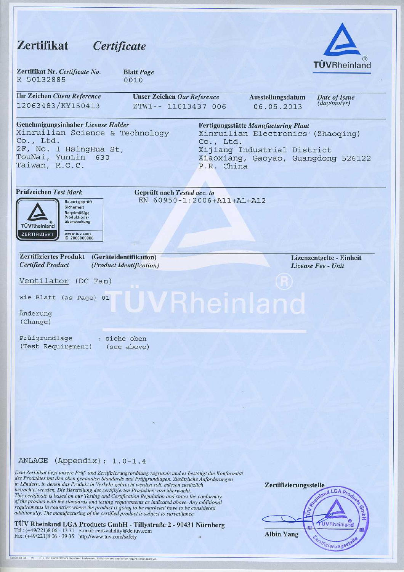## Zertifikat Certificate



| Zertifikat Nr. Certificate No. | <b>Blatt Page</b> |
|--------------------------------|-------------------|
| R 50132885                     | 0010              |

| <b>Ihr Zeichen Client Reference</b>                                                                                                                  | <b>Unser Zeichen Our Reference</b>                        |                         | Ausstellungsdatum                                                                                                                                | Date of Issue<br>(day/mo/yr) |
|------------------------------------------------------------------------------------------------------------------------------------------------------|-----------------------------------------------------------|-------------------------|--------------------------------------------------------------------------------------------------------------------------------------------------|------------------------------|
| 12063483/KY150413                                                                                                                                    | ZTW1-- 11013437 006                                       |                         | 06.05.2013                                                                                                                                       |                              |
| Genehmigungsinhaber License Holder<br>Xinruilian Science & Technology<br>Co., Ltd.<br>2F, No. 1 HsingHua St,<br>TouNai, YunLin 630<br>Taiwan, R.O.C. |                                                           | Co., Ltd.<br>P.R. China | Fertigungsstätte Manufacturing Plant<br>Xinruilian Electronics' (Zhaoqing)<br>Xijiang Industrial District<br>Xiaoxiang, Gaoyao, Guangdong 526122 |                              |
| Prüfzeichen Test Mark<br>Bauart geprüft<br>Sicherheit<br>Regelmäßige<br>Produktions-<br>überwachung<br><b>TUVRheinland</b>                           | Geprüft nach Tested acc. to<br>EN 60950-1:2006+A11+A1+A12 |                         |                                                                                                                                                  |                              |

| <b>Zertifiziertes Produkt</b> | (Geräteidentifikation)          |  |  |  |
|-------------------------------|---------------------------------|--|--|--|
| <b>Certified Product</b>      | <i>(Product Identification)</i> |  |  |  |

www.tuv.com<br>ID 2000000000

Ventilator (DC Fan)

wie Blatt (as Page) 01

Änderung (Change)

ZERTIFIZIERT

Prüfgrundlage : siehe oben (Test Requirement) (see above) Lizenzentgelte - Einheit License Fee - Unit

#### ANLAGE (Appendix): 1.0-1.4

Dem Zertifikat liegt unsere Priif- und Zertifizierungsordnung zugrunde und es bestätigt die Konformität des Produktes mit den oben genannten Standards und Prüfgrundlagen. Zusätzliche Anforderungen in Ländern, in denen das Produkt in Verkehr gebracht werden soll, müssen zusätzlich betrachtet werden. Die Herstellung des zertifizierten Produktes wird überwacht. This certificate is based on our Testing and Certification Regulation and states the conformity of the product with the standards and testing requirements as indicated above. Any additional requirements in countries where the product is going to be marketed have to be considered additionally. The manufacturing of the certified product is subject to surveillance.

TÜV Rheinland LGA Products GmbH - Tillystraße 2 - 90431 Nürnberg Tel.: (+49/221)8 06 - 13 71 e-mail: cert-validity@de.tuv.com Fax: (+49/221)8 06 - 39 35 http://www.tuv.com/safety